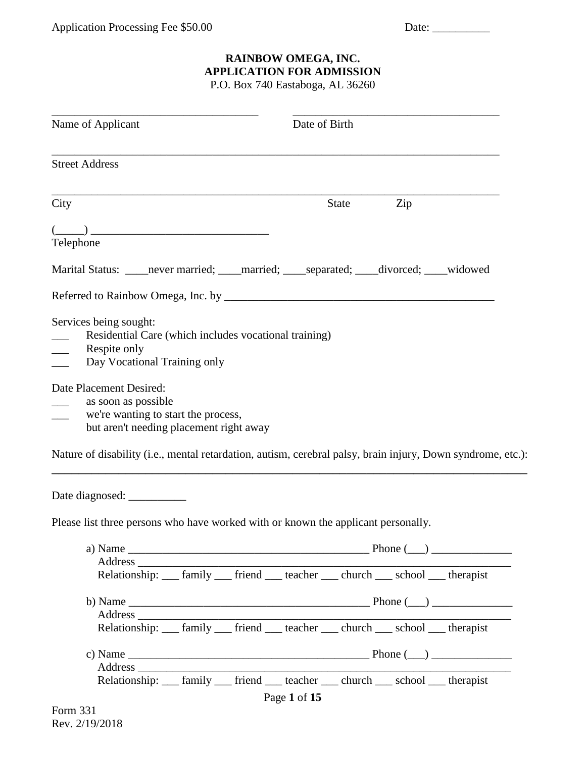## **RAINBOW OMEGA, INC. APPLICATION FOR ADMISSION**

P.O. Box 740 Eastaboga, AL 36260

| Name of Applicant                                                                                                                                                                                                                                |  | Date of Birth |       |     |  |
|--------------------------------------------------------------------------------------------------------------------------------------------------------------------------------------------------------------------------------------------------|--|---------------|-------|-----|--|
| <b>Street Address</b>                                                                                                                                                                                                                            |  |               |       |     |  |
| City                                                                                                                                                                                                                                             |  |               | State | Zip |  |
|                                                                                                                                                                                                                                                  |  |               |       |     |  |
| $\frac{(\underline{\hspace{1cm}})}{\text{Telephone}}$                                                                                                                                                                                            |  |               |       |     |  |
| Marital Status: _____never married; _____married; _____separated; ____divorced; ____widowed                                                                                                                                                      |  |               |       |     |  |
|                                                                                                                                                                                                                                                  |  |               |       |     |  |
| Services being sought:<br>Residential Care (which includes vocational training)<br>Respite only<br>$\overline{\phantom{a}}$<br>Day Vocational Training only                                                                                      |  |               |       |     |  |
| Date Placement Desired:                                                                                                                                                                                                                          |  |               |       |     |  |
| as soon as possible<br>$\overline{\phantom{0}}$<br>we're wanting to start the process,<br>but aren't needing placement right away<br>Nature of disability (i.e., mental retardation, autism, cerebral palsy, brain injury, Down syndrome, etc.): |  |               |       |     |  |
| Date diagnosed: ___________<br>Please list three persons who have worked with or known the applicant personally.                                                                                                                                 |  |               |       |     |  |
|                                                                                                                                                                                                                                                  |  |               |       |     |  |
|                                                                                                                                                                                                                                                  |  |               |       |     |  |
| Relationship: __ family __ friend __ teacher __ church __ school __ therapist                                                                                                                                                                    |  |               |       |     |  |
|                                                                                                                                                                                                                                                  |  |               |       |     |  |
| Relationship: __ family __ friend __ teacher __ church __ school __ therapist                                                                                                                                                                    |  |               |       |     |  |
|                                                                                                                                                                                                                                                  |  |               |       |     |  |
| Relationship: __ family __ friend __ teacher __ church __ school __ therapist                                                                                                                                                                    |  |               |       |     |  |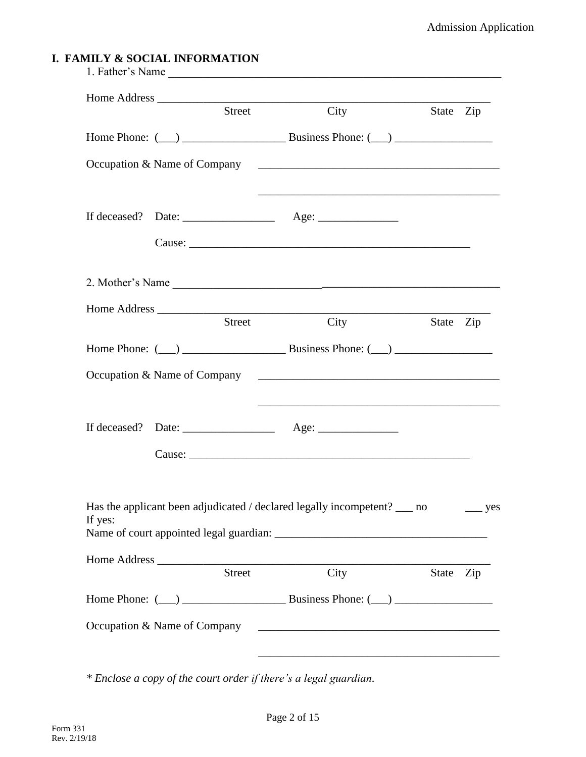## **I. FAMILY & SOCIAL INFORMATION**

|         | Street | City                                                                                                            |           | State Zip    |
|---------|--------|-----------------------------------------------------------------------------------------------------------------|-----------|--------------|
|         |        |                                                                                                                 |           |              |
|         |        | $Oc$ cupation & Name of Company                                                                                 |           |              |
|         |        |                                                                                                                 |           |              |
|         |        |                                                                                                                 |           |              |
|         |        | 2. Mother's Name                                                                                                |           |              |
|         | Street | Home Address<br>City                                                                                            |           | State Zip    |
|         |        |                                                                                                                 |           |              |
|         |        | Occupation & Name of Company 2008 2008 2009 2010 2021 2022 2023 2024 2025 2020 2021 2022 2023 2024 2025 2026 20 |           |              |
|         |        |                                                                                                                 |           |              |
|         |        |                                                                                                                 |           |              |
|         |        |                                                                                                                 |           |              |
| If yes: |        | Has the applicant been adjudicated / declared legally incompetent? __ no                                        |           | $\equiv$ yes |
|         | Street | City                                                                                                            | State Zip |              |
|         |        |                                                                                                                 |           |              |
|         |        |                                                                                                                 |           |              |
|         |        |                                                                                                                 |           |              |

*\* Enclose a copy of the court order if there's a legal guardian.*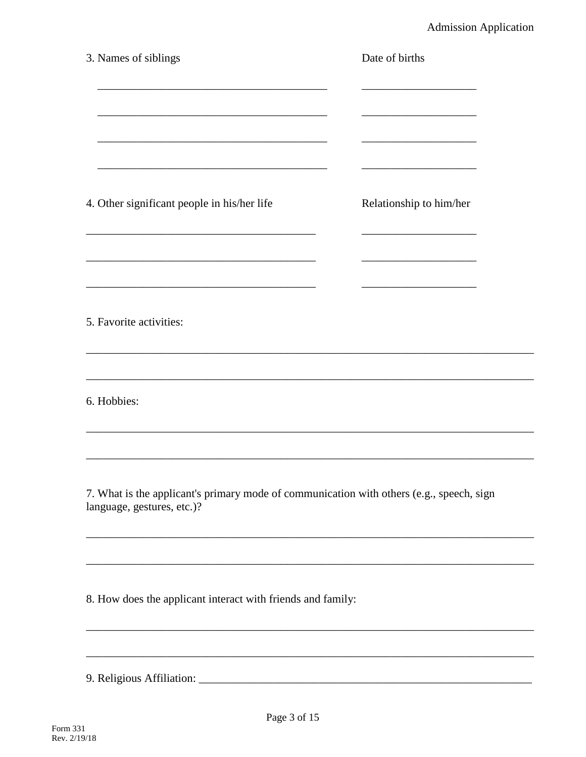| 3. Names of siblings                                                                                                   | Date of births          |
|------------------------------------------------------------------------------------------------------------------------|-------------------------|
|                                                                                                                        |                         |
| 4. Other significant people in his/her life                                                                            | Relationship to him/her |
| 5. Favorite activities:                                                                                                |                         |
| 6. Hobbies:                                                                                                            |                         |
| 7. What is the applicant's primary mode of communication with others (e.g., speech, sign<br>language, gestures, etc.)? |                         |
| 8. How does the applicant interact with friends and family:                                                            |                         |
|                                                                                                                        |                         |
|                                                                                                                        |                         |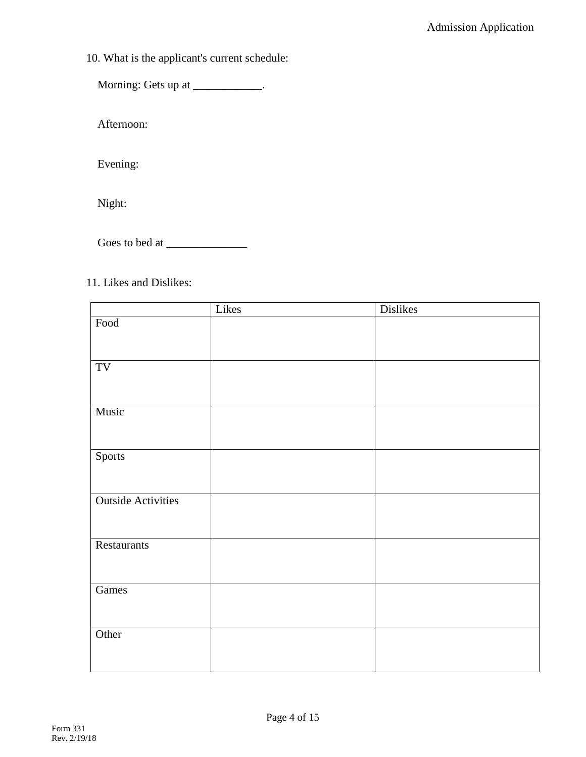10. What is the applicant's current schedule:

Morning: Gets up at \_\_\_\_\_\_\_\_\_\_\_\_.

Afternoon:

Evening:

Night:

Goes to bed at \_\_\_\_\_\_\_\_\_\_\_\_\_\_

## 11. Likes and Dislikes:

|                           | Likes | <b>Dislikes</b> |
|---------------------------|-------|-----------------|
| Food                      |       |                 |
|                           |       |                 |
|                           |       |                 |
| TV                        |       |                 |
|                           |       |                 |
|                           |       |                 |
| Music                     |       |                 |
|                           |       |                 |
|                           |       |                 |
| Sports                    |       |                 |
|                           |       |                 |
|                           |       |                 |
| <b>Outside Activities</b> |       |                 |
|                           |       |                 |
|                           |       |                 |
| Restaurants               |       |                 |
|                           |       |                 |
|                           |       |                 |
| Games                     |       |                 |
|                           |       |                 |
|                           |       |                 |
| Other                     |       |                 |
|                           |       |                 |
|                           |       |                 |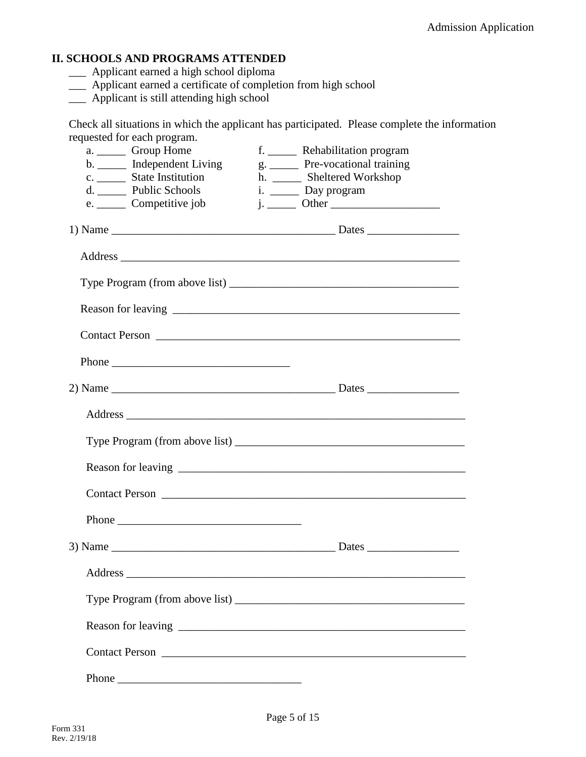## **II. SCHOOLS AND PROGRAMS ATTENDED**

- \_\_\_ Applicant earned a high school diploma
- \_\_\_ Applicant earned a certificate of completion from high school
- \_\_\_ Applicant is still attending high school

Check all situations in which the applicant has participated. Please complete the information requested for each program.

| a. Group Home<br>b. _______ Independent Living<br>c. ________ State Institution<br>d. _______ Public Schools<br>e. _______ Competitive job | f. ________ Rehabilitation program<br>g. _______ Pre-vocational training<br>h. ______ Sheltered Workshop<br>i. _______ Day program |
|--------------------------------------------------------------------------------------------------------------------------------------------|------------------------------------------------------------------------------------------------------------------------------------|
|                                                                                                                                            |                                                                                                                                    |
|                                                                                                                                            |                                                                                                                                    |
|                                                                                                                                            |                                                                                                                                    |
|                                                                                                                                            |                                                                                                                                    |
|                                                                                                                                            |                                                                                                                                    |
| Phone                                                                                                                                      |                                                                                                                                    |
|                                                                                                                                            |                                                                                                                                    |
|                                                                                                                                            |                                                                                                                                    |
|                                                                                                                                            |                                                                                                                                    |
|                                                                                                                                            |                                                                                                                                    |
|                                                                                                                                            |                                                                                                                                    |
| Phone                                                                                                                                      |                                                                                                                                    |
|                                                                                                                                            |                                                                                                                                    |
|                                                                                                                                            |                                                                                                                                    |
|                                                                                                                                            |                                                                                                                                    |
|                                                                                                                                            |                                                                                                                                    |
|                                                                                                                                            |                                                                                                                                    |
|                                                                                                                                            |                                                                                                                                    |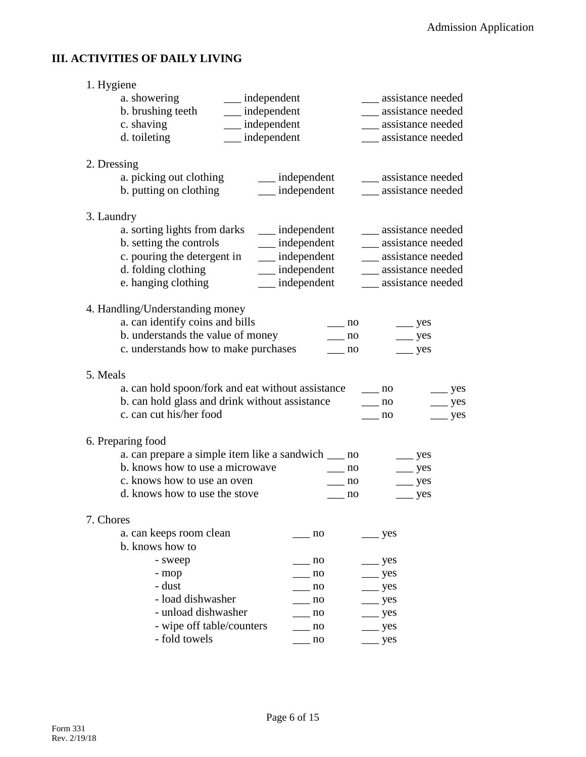## **III. ACTIVITIES OF DAILY LIVING**

| 1. Hygiene  |                                                     |                      |                                  |
|-------------|-----------------------------------------------------|----------------------|----------------------------------|
|             | a. showering<br>__ independent                      |                      | assistance needed                |
|             | b. brushing teeth<br>$\frac{1}{2}$ independent      |                      | ___ assistance needed            |
|             | c. shaving<br>__ independent                        |                      | __ assistance needed             |
|             | __ independent<br>d. toileting                      |                      | ___ assistance needed            |
| 2. Dressing |                                                     |                      |                                  |
|             | a. picking out clothing                             | __ independent       | ____ assistance needed           |
|             | b. putting on clothing                              | $\_\_$ independent   | ___ assistance needed            |
| 3. Laundry  |                                                     |                      |                                  |
|             | a. sorting lights from darks ______ independent     |                      | ___ assistance needed            |
|             | b. setting the controls                             | __ independent       | ___ assistance needed            |
|             | c. pouring the detergent in                         | __ independent       | __ assistance needed             |
|             | d. folding clothing                                 | __ independent       | ___ assistance needed            |
|             | e. hanging clothing                                 | $\equiv$ independent | ___ assistance needed            |
|             | 4. Handling/Understanding money                     |                      |                                  |
|             | a. can identify coins and bills                     | no                   | $\equiv$ yes                     |
|             | b. understands the value of money                   | no                   | $\equiv$ yes                     |
|             | c. understands how to make purchases                | no                   | $\equiv$ yes                     |
| 5. Meals    |                                                     |                      |                                  |
|             | a. can hold spoon/fork and eat without assistance   |                      | $\equiv$ no<br>$\equiv$ yes      |
|             | b. can hold glass and drink without assistance      |                      | $\frac{1}{2}$ no<br>$\equiv$ yes |
|             | c. can cut his/her food                             |                      | no<br>$\equiv$ yes               |
|             | 6. Preparing food                                   |                      |                                  |
|             | a. can prepare a simple item like a sandwich ___ no |                      | $\equiv$ yes                     |
|             | b. knows how to use a microwave                     | no                   | $\equiv$ yes                     |
|             | c. knows how to use an oven                         | no                   | $\equiv$ yes                     |
|             | d. knows how to use the stove                       | $\equiv$ no          | $\rightharpoonup$ yes            |
| 7. Chores   |                                                     |                      |                                  |
|             | a. can keeps room clean                             | no                   | yes                              |
|             | b. knows how to                                     |                      |                                  |
|             | - sweep                                             | no                   | yes                              |
|             | - mop                                               | no                   | yes                              |
|             | - dust                                              | no                   | yes                              |
|             | - load dishwasher                                   | no                   | yes                              |
|             | - unload dishwasher                                 | no                   | yes                              |
|             | - wipe off table/counters                           | no                   | $\equiv$ yes                     |
|             | - fold towels                                       | no                   | $\equiv$ yes                     |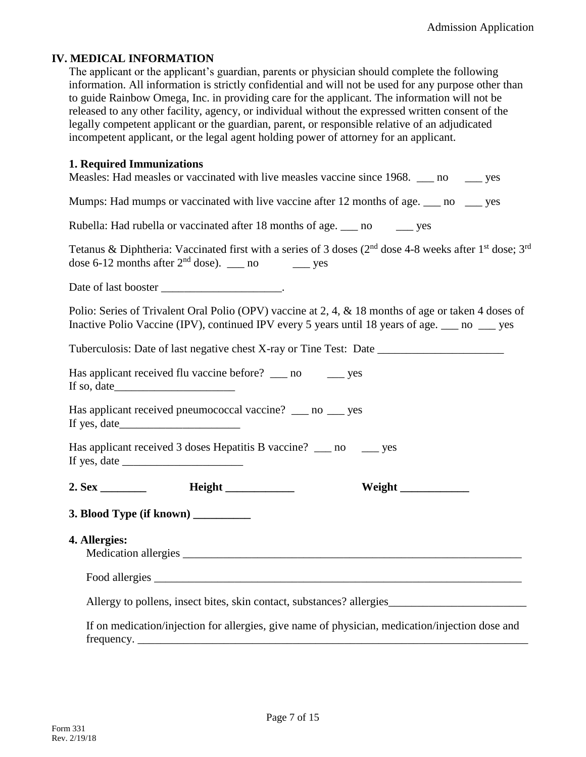### **IV. MEDICAL INFORMATION**

The applicant or the applicant's guardian, parents or physician should complete the following information. All information is strictly confidential and will not be used for any purpose other than to guide Rainbow Omega, Inc. in providing care for the applicant. The information will not be released to any other facility, agency, or individual without the expressed written consent of the legally competent applicant or the guardian, parent, or responsible relative of an adjudicated incompetent applicant, or the legal agent holding power of attorney for an applicant.

### **1. Required Immunizations**

| Measles: Had measles or vaccinated with live measles vaccine since 1968. __ no __ yes                                                                                                                                                                                                                                                                                                                                                                                                |
|--------------------------------------------------------------------------------------------------------------------------------------------------------------------------------------------------------------------------------------------------------------------------------------------------------------------------------------------------------------------------------------------------------------------------------------------------------------------------------------|
| Mumps: Had mumps or vaccinated with live vaccine after 12 months of age. ___ no ___ yes                                                                                                                                                                                                                                                                                                                                                                                              |
| Rubella: Had rubella or vaccinated after 18 months of age. ___ no _____ yes                                                                                                                                                                                                                                                                                                                                                                                                          |
| Tetanus & Diphtheria: Vaccinated first with a series of 3 doses (2 <sup>nd</sup> dose 4-8 weeks after 1 <sup>st</sup> dose; 3 <sup>rd</sup><br>dose 6-12 months after $2nd$ dose). ___ no _____ yes                                                                                                                                                                                                                                                                                  |
|                                                                                                                                                                                                                                                                                                                                                                                                                                                                                      |
| Polio: Series of Trivalent Oral Polio (OPV) vaccine at 2, 4, & 18 months of age or taken 4 doses of<br>Inactive Polio Vaccine (IPV), continued IPV every 5 years until 18 years of age. ___ no ___ yes                                                                                                                                                                                                                                                                               |
| Tuberculosis: Date of last negative chest X-ray or Tine Test: Date _________________________________                                                                                                                                                                                                                                                                                                                                                                                 |
| Has applicant received flu vaccine before? ____ no ______ yes                                                                                                                                                                                                                                                                                                                                                                                                                        |
| Has applicant received pneumococcal vaccine? __ no __ yes                                                                                                                                                                                                                                                                                                                                                                                                                            |
| Has applicant received 3 doses Hepatitis B vaccine? __ no __ yes<br>If yes, date $\frac{1}{\sqrt{1-\frac{1}{2}}}\left\{ \frac{1}{2}, \frac{1}{2}, \frac{1}{2}, \frac{1}{2}, \frac{1}{2}, \frac{1}{2}, \frac{1}{2}, \frac{1}{2}, \frac{1}{2}, \frac{1}{2}, \frac{1}{2}, \frac{1}{2}, \frac{1}{2}, \frac{1}{2}, \frac{1}{2}, \frac{1}{2}, \frac{1}{2}, \frac{1}{2}, \frac{1}{2}, \frac{1}{2}, \frac{1}{2}, \frac{1}{2}, \frac{1}{2}, \frac{1}{2}, \frac{1}{2}, \frac{1}{2}, \frac{1}{$ |
| Weight                                                                                                                                                                                                                                                                                                                                                                                                                                                                               |
| 3. Blood Type (if known) _________                                                                                                                                                                                                                                                                                                                                                                                                                                                   |
| 4. Allergies:                                                                                                                                                                                                                                                                                                                                                                                                                                                                        |
|                                                                                                                                                                                                                                                                                                                                                                                                                                                                                      |
| Allergy to pollens, insect bites, skin contact, substances? allergies_______________________________                                                                                                                                                                                                                                                                                                                                                                                 |
| If on medication/injection for allergies, give name of physician, medication/injection dose and<br>frequency.                                                                                                                                                                                                                                                                                                                                                                        |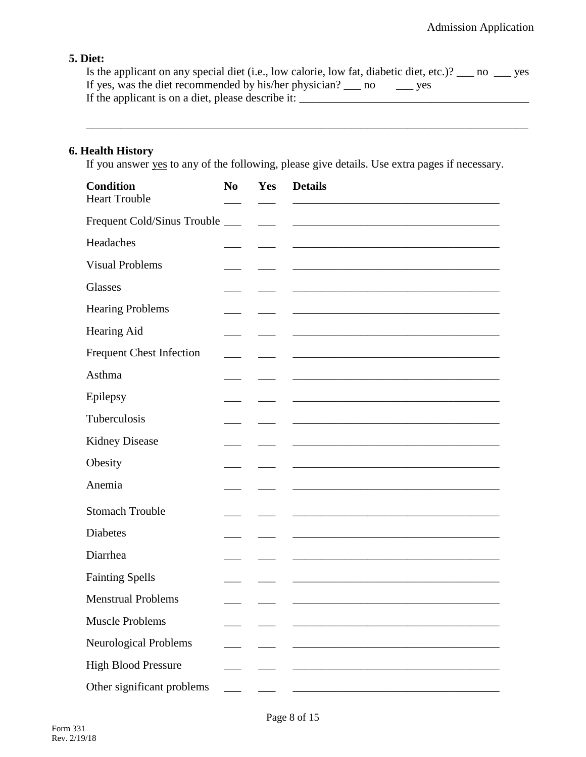## **5. Diet:**

Is the applicant on any special diet (i.e., low calorie, low fat, diabetic diet, etc.)? \_\_\_ no \_\_\_ yes If yes, was the diet recommended by his/her physician? \_\_\_ no \_\_\_\_ yes If the applicant is on a diet, please describe it: \_\_\_\_\_\_\_\_\_\_\_\_\_\_\_\_\_\_\_\_\_\_\_\_\_\_\_\_\_\_\_\_\_\_\_\_\_\_\_\_

### **6. Health History**

If you answer yes to any of the following, please give details. Use extra pages if necessary.

| <b>Condition</b><br><b>Heart Trouble</b> | N <sub>0</sub>           | Yes | <b>Details</b> |
|------------------------------------------|--------------------------|-----|----------------|
| Frequent Cold/Sinus Trouble              | $\overline{\phantom{a}}$ |     |                |
| Headaches                                |                          |     |                |
| <b>Visual Problems</b>                   |                          |     |                |
| Glasses                                  |                          |     |                |
| <b>Hearing Problems</b>                  |                          |     |                |
| Hearing Aid                              |                          |     |                |
| <b>Frequent Chest Infection</b>          |                          |     |                |
| Asthma                                   |                          |     |                |
| Epilepsy                                 |                          |     |                |
| Tuberculosis                             |                          |     |                |
| <b>Kidney Disease</b>                    |                          |     |                |
| Obesity                                  |                          |     |                |
| Anemia                                   |                          |     |                |
| <b>Stomach Trouble</b>                   |                          |     |                |
| Diabetes                                 |                          |     |                |
| Diarrhea                                 |                          |     |                |
| <b>Fainting Spells</b>                   |                          |     |                |
| <b>Menstrual Problems</b>                |                          |     |                |
| <b>Muscle Problems</b>                   |                          |     |                |
| Neurological Problems                    |                          |     |                |
| <b>High Blood Pressure</b>               |                          |     |                |
| Other significant problems               |                          |     |                |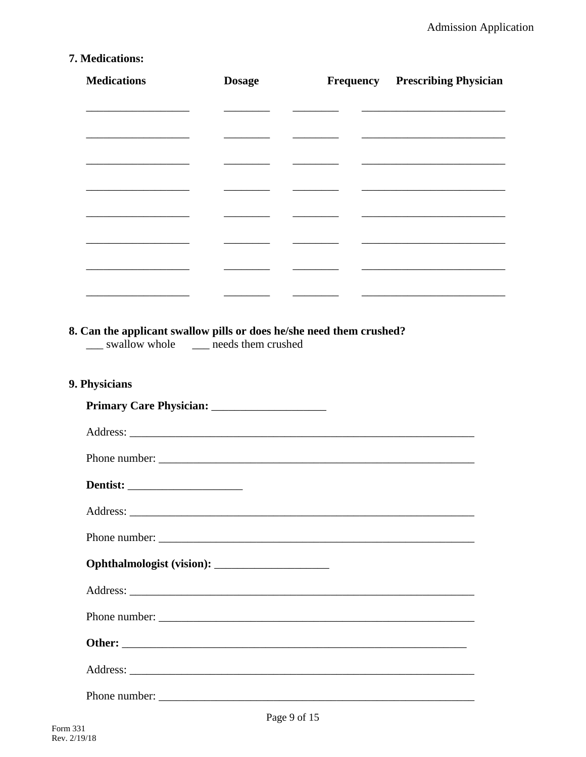# 7. Medications:

| <b>Medications</b>                                                                                    | <b>Dosage</b>                                                                                                          |                                                                                                                                                                                                                                                                                                                                                                                                                        | <b>Frequency</b> Prescribing Physician                                                                                 |
|-------------------------------------------------------------------------------------------------------|------------------------------------------------------------------------------------------------------------------------|------------------------------------------------------------------------------------------------------------------------------------------------------------------------------------------------------------------------------------------------------------------------------------------------------------------------------------------------------------------------------------------------------------------------|------------------------------------------------------------------------------------------------------------------------|
|                                                                                                       |                                                                                                                        | $\begin{tabular}{lcccccc} \multicolumn{2}{c }{\textbf{1} & \textbf{2} & \textbf{3} & \textbf{4} & \textbf{5} & \textbf{5} & \textbf{6} & \textbf{7} & \textbf{8} & \textbf{9} & \textbf{10} & \textbf{10} & \textbf{10} & \textbf{10} & \textbf{10} & \textbf{10} & \textbf{10} & \textbf{10} & \textbf{10} & \textbf{10} & \textbf{10} & \textbf{10} & \textbf{10} & \textbf{10} & \textbf{10} & \textbf{10} & \text$ | <u> Listen de la contrada de la contrada de la contrada de la contrada de la contrada de la contrada de la contrad</u> |
|                                                                                                       |                                                                                                                        |                                                                                                                                                                                                                                                                                                                                                                                                                        |                                                                                                                        |
|                                                                                                       |                                                                                                                        |                                                                                                                                                                                                                                                                                                                                                                                                                        |                                                                                                                        |
|                                                                                                       | $\overline{\phantom{a}}$                                                                                               | <u> Alexandria (m. 1858)</u>                                                                                                                                                                                                                                                                                                                                                                                           |                                                                                                                        |
|                                                                                                       |                                                                                                                        | $\begin{tabular}{ccccc} \multicolumn{2}{c }{\textbf{1} & \textbf{2} & \textbf{3} & \textbf{4} & \textbf{5} & \textbf{5} & \textbf{6} & \textbf{7} & \textbf{8} & \textbf{9} & \textbf{10} & \textbf{10} & \textbf{10} & \textbf{10} & \textbf{10} & \textbf{10} & \textbf{10} & \textbf{10} & \textbf{10} & \textbf{10} & \textbf{10} & \textbf{10} & \textbf{10} & \textbf{10} & \textbf{10} & \textbf{10} & \textbf$ |                                                                                                                        |
|                                                                                                       | <u> Alexandro de la contextual de la contextual de la contextual de la contextual de la contextual de la contextua</u> |                                                                                                                                                                                                                                                                                                                                                                                                                        |                                                                                                                        |
|                                                                                                       |                                                                                                                        |                                                                                                                                                                                                                                                                                                                                                                                                                        | <u> 1989 - Johann Harry Harry Harry Harry Harry Harry Harry Harry Harry Harry Harry Harry Harry Harry Harry Harry</u>  |
| Can the applicant swallow pills or does he/she need them crushed?<br>swallow whole needs them crushed |                                                                                                                        |                                                                                                                                                                                                                                                                                                                                                                                                                        |                                                                                                                        |
| <b>Physicians</b>                                                                                     |                                                                                                                        |                                                                                                                                                                                                                                                                                                                                                                                                                        |                                                                                                                        |
|                                                                                                       |                                                                                                                        |                                                                                                                                                                                                                                                                                                                                                                                                                        |                                                                                                                        |
|                                                                                                       |                                                                                                                        |                                                                                                                                                                                                                                                                                                                                                                                                                        |                                                                                                                        |
|                                                                                                       |                                                                                                                        |                                                                                                                                                                                                                                                                                                                                                                                                                        |                                                                                                                        |
|                                                                                                       |                                                                                                                        |                                                                                                                                                                                                                                                                                                                                                                                                                        |                                                                                                                        |
|                                                                                                       |                                                                                                                        |                                                                                                                                                                                                                                                                                                                                                                                                                        |                                                                                                                        |
|                                                                                                       |                                                                                                                        |                                                                                                                                                                                                                                                                                                                                                                                                                        |                                                                                                                        |
|                                                                                                       |                                                                                                                        |                                                                                                                                                                                                                                                                                                                                                                                                                        |                                                                                                                        |
|                                                                                                       |                                                                                                                        |                                                                                                                                                                                                                                                                                                                                                                                                                        |                                                                                                                        |
|                                                                                                       |                                                                                                                        |                                                                                                                                                                                                                                                                                                                                                                                                                        |                                                                                                                        |
|                                                                                                       |                                                                                                                        |                                                                                                                                                                                                                                                                                                                                                                                                                        |                                                                                                                        |
|                                                                                                       |                                                                                                                        |                                                                                                                                                                                                                                                                                                                                                                                                                        |                                                                                                                        |
|                                                                                                       |                                                                                                                        |                                                                                                                                                                                                                                                                                                                                                                                                                        |                                                                                                                        |

8.

9.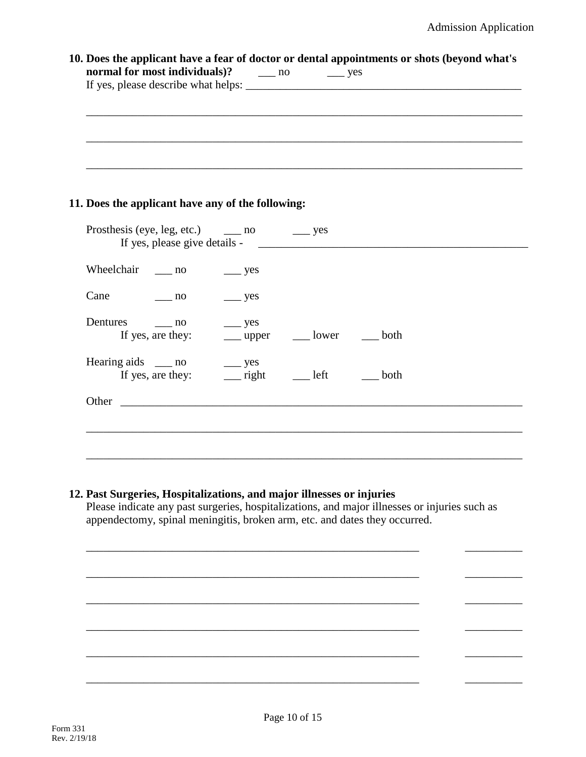| 10. Does the applicant have a fear of doctor or dental appointments or shots (beyond what's |    |                       |  |
|---------------------------------------------------------------------------------------------|----|-----------------------|--|
| normal for most individuals)?                                                               | no | $\rightharpoonup$ yes |  |
|                                                                                             |    |                       |  |
|                                                                                             |    |                       |  |
|                                                                                             |    |                       |  |
|                                                                                             |    |                       |  |
|                                                                                             |    |                       |  |
|                                                                                             |    |                       |  |
|                                                                                             |    |                       |  |

### **11. Does the applicant have any of the following:**

| Prosthesis (eye, leg, etc.) ______ no<br>If yes, please give details - |                    | $\equiv$ yes |      |  |
|------------------------------------------------------------------------|--------------------|--------------|------|--|
| Wheelchair ____ no                                                     | $\equiv$ yes       |              |      |  |
|                                                                        |                    |              |      |  |
| Cane<br>no no                                                          | $\equiv$ yes       |              |      |  |
| Dentures<br>$\sim$ no                                                  | $\frac{\ }{2}$ yes |              |      |  |
| If yes, are they:                                                      | ___ upper          | lower        | both |  |
| Hearing aids ____ no                                                   | $\frac{\ }{2}$ yes |              |      |  |
| If yes, are they:                                                      | $\equiv$ right     | left         | both |  |
| Other<br><u> 1980 - Jan Alexandria (h. 1980).</u>                      |                    |              |      |  |
|                                                                        |                    |              |      |  |
|                                                                        |                    |              |      |  |
|                                                                        |                    |              |      |  |

### **12. Past Surgeries, Hospitalizations, and major illnesses or injuries**

Please indicate any past surgeries, hospitalizations, and major illnesses or injuries such as appendectomy, spinal meningitis, broken arm, etc. and dates they occurred.

\_\_\_\_\_\_\_\_\_\_\_\_\_\_\_\_\_\_\_\_\_\_\_\_\_\_\_\_\_\_\_\_\_\_\_\_\_\_\_\_\_\_\_\_\_\_\_\_\_\_\_\_\_\_\_\_\_\_ \_\_\_\_\_\_\_\_\_\_

\_\_\_\_\_\_\_\_\_\_\_\_\_\_\_\_\_\_\_\_\_\_\_\_\_\_\_\_\_\_\_\_\_\_\_\_\_\_\_\_\_\_\_\_\_\_\_\_\_\_\_\_\_\_\_\_\_\_ \_\_\_\_\_\_\_\_\_\_

\_\_\_\_\_\_\_\_\_\_\_\_\_\_\_\_\_\_\_\_\_\_\_\_\_\_\_\_\_\_\_\_\_\_\_\_\_\_\_\_\_\_\_\_\_\_\_\_\_\_\_\_\_\_\_\_\_\_ \_\_\_\_\_\_\_\_\_\_

\_\_\_\_\_\_\_\_\_\_\_\_\_\_\_\_\_\_\_\_\_\_\_\_\_\_\_\_\_\_\_\_\_\_\_\_\_\_\_\_\_\_\_\_\_\_\_\_\_\_\_\_\_\_\_\_\_\_ \_\_\_\_\_\_\_\_\_\_

\_\_\_\_\_\_\_\_\_\_\_\_\_\_\_\_\_\_\_\_\_\_\_\_\_\_\_\_\_\_\_\_\_\_\_\_\_\_\_\_\_\_\_\_\_\_\_\_\_\_\_\_\_\_\_\_\_\_ \_\_\_\_\_\_\_\_\_\_

\_\_\_\_\_\_\_\_\_\_\_\_\_\_\_\_\_\_\_\_\_\_\_\_\_\_\_\_\_\_\_\_\_\_\_\_\_\_\_\_\_\_\_\_\_\_\_\_\_\_\_\_\_\_\_\_\_\_ \_\_\_\_\_\_\_\_\_\_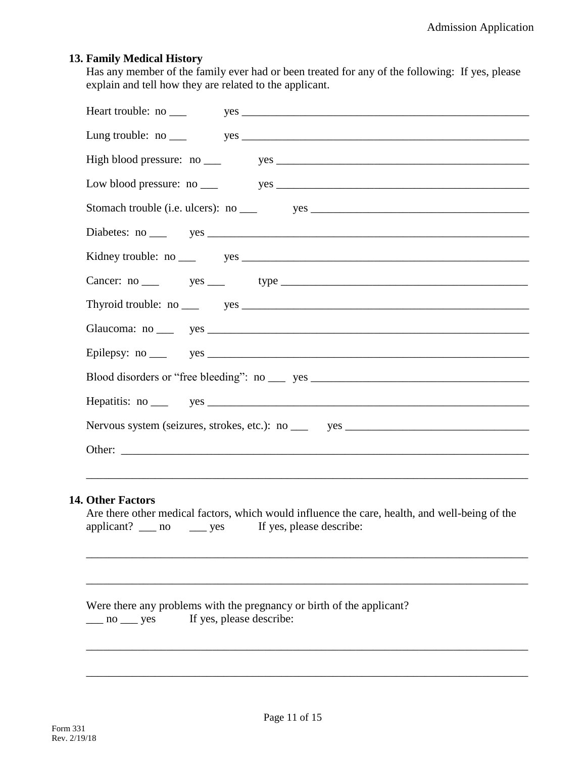### **13. Family Medical History**

Has any member of the family ever had or been treated for any of the following: If yes, please explain and tell how they are related to the applicant.

### **14. Other Factors**

|                      |  |              | Are there other medical factors, which would influence the care, health, and well-being of the |
|----------------------|--|--------------|------------------------------------------------------------------------------------------------|
| applicant? $\_\_$ no |  | $\equiv$ yes | If yes, please describe:                                                                       |

\_\_\_\_\_\_\_\_\_\_\_\_\_\_\_\_\_\_\_\_\_\_\_\_\_\_\_\_\_\_\_\_\_\_\_\_\_\_\_\_\_\_\_\_\_\_\_\_\_\_\_\_\_\_\_\_\_\_\_\_\_\_\_\_\_\_\_\_\_\_\_\_\_\_\_\_\_

\_\_\_\_\_\_\_\_\_\_\_\_\_\_\_\_\_\_\_\_\_\_\_\_\_\_\_\_\_\_\_\_\_\_\_\_\_\_\_\_\_\_\_\_\_\_\_\_\_\_\_\_\_\_\_\_\_\_\_\_\_\_\_\_\_\_\_\_\_\_\_\_\_\_\_\_\_

\_\_\_\_\_\_\_\_\_\_\_\_\_\_\_\_\_\_\_\_\_\_\_\_\_\_\_\_\_\_\_\_\_\_\_\_\_\_\_\_\_\_\_\_\_\_\_\_\_\_\_\_\_\_\_\_\_\_\_\_\_\_\_\_\_\_\_\_\_\_\_\_\_\_\_\_\_

\_\_\_\_\_\_\_\_\_\_\_\_\_\_\_\_\_\_\_\_\_\_\_\_\_\_\_\_\_\_\_\_\_\_\_\_\_\_\_\_\_\_\_\_\_\_\_\_\_\_\_\_\_\_\_\_\_\_\_\_\_\_\_\_\_\_\_\_\_\_\_\_\_\_\_\_\_

\_\_\_\_\_\_\_\_\_\_\_\_\_\_\_\_\_\_\_\_\_\_\_\_\_\_\_\_\_\_\_\_\_\_\_\_\_\_\_\_\_\_\_\_\_\_\_\_\_\_\_\_\_\_\_\_\_\_\_\_\_\_\_\_\_\_\_\_\_\_\_\_\_\_\_\_\_

Were there any problems with the pregnancy or birth of the applicant? \_\_\_ no \_\_\_ yes If yes, please describe: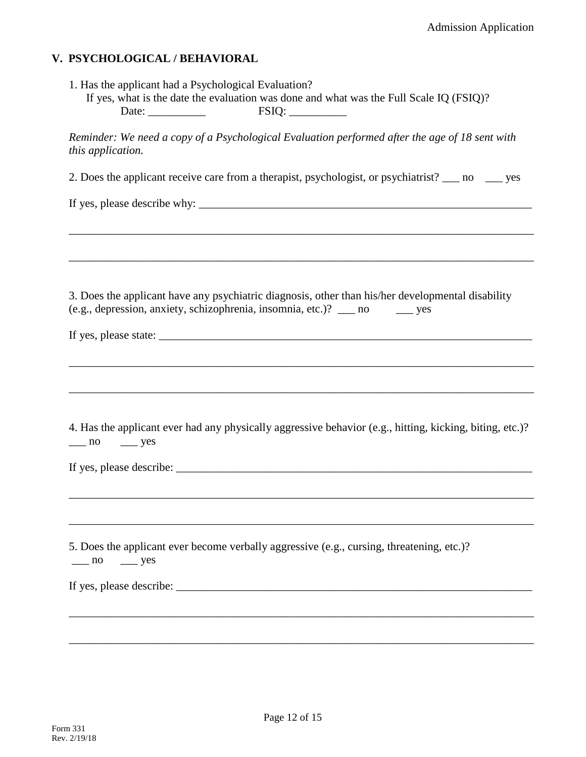### **V. PSYCHOLOGICAL / BEHAVIORAL**

| 1. Has the applicant had a Psychological Evaluation? |                                                                                         |  |
|------------------------------------------------------|-----------------------------------------------------------------------------------------|--|
|                                                      | If yes, what is the date the evaluation was done and what was the Full Scale IQ (FSIQ)? |  |
| Date:                                                | <b>FSIO:</b>                                                                            |  |

*Reminder: We need a copy of a Psychological Evaluation performed after the age of 18 sent with this application.*

2. Does the applicant receive care from a therapist, psychologist, or psychiatrist? \_\_\_ no \_\_\_ yes

\_\_\_\_\_\_\_\_\_\_\_\_\_\_\_\_\_\_\_\_\_\_\_\_\_\_\_\_\_\_\_\_\_\_\_\_\_\_\_\_\_\_\_\_\_\_\_\_\_\_\_\_\_\_\_\_\_\_\_\_\_\_\_\_\_\_\_\_\_\_\_\_\_\_\_\_\_\_\_\_\_

\_\_\_\_\_\_\_\_\_\_\_\_\_\_\_\_\_\_\_\_\_\_\_\_\_\_\_\_\_\_\_\_\_\_\_\_\_\_\_\_\_\_\_\_\_\_\_\_\_\_\_\_\_\_\_\_\_\_\_\_\_\_\_\_\_\_\_\_\_\_\_\_\_\_\_\_\_\_\_\_\_

If yes, please describe why:  $\frac{1}{\sqrt{1-\frac{1}{2}}\sqrt{1-\frac{1}{2}}\sqrt{1-\frac{1}{2}}\sqrt{1-\frac{1}{2}}\sqrt{1-\frac{1}{2}}\sqrt{1-\frac{1}{2}}\sqrt{1-\frac{1}{2}}\sqrt{1-\frac{1}{2}}\sqrt{1-\frac{1}{2}}\sqrt{1-\frac{1}{2}}\sqrt{1-\frac{1}{2}}\sqrt{1-\frac{1}{2}}\sqrt{1-\frac{1}{2}}\sqrt{1-\frac{1}{2}}\sqrt{1-\frac{1}{2}}\sqrt{1-\frac{1}{2}}\sqrt{1-\frac{1}{2$ 

3. Does the applicant have any psychiatric diagnosis, other than his/her developmental disability (e.g., depression, anxiety, schizophrenia, insomnia, etc.)? \_\_\_ no \_\_\_ yes

| If yes, |               |  |
|---------|---------------|--|
|         | please state: |  |
|         |               |  |

|             |                   | 4. Has the applicant ever had any physically aggressive behavior (e.g., hitting, kicking, biting, etc.)? |  |  |
|-------------|-------------------|----------------------------------------------------------------------------------------------------------|--|--|
| $\equiv$ no | $\frac{\ }{}$ yes |                                                                                                          |  |  |

\_\_\_\_\_\_\_\_\_\_\_\_\_\_\_\_\_\_\_\_\_\_\_\_\_\_\_\_\_\_\_\_\_\_\_\_\_\_\_\_\_\_\_\_\_\_\_\_\_\_\_\_\_\_\_\_\_\_\_\_\_\_\_\_\_\_\_\_\_\_\_\_\_\_\_\_\_\_\_\_\_

\_\_\_\_\_\_\_\_\_\_\_\_\_\_\_\_\_\_\_\_\_\_\_\_\_\_\_\_\_\_\_\_\_\_\_\_\_\_\_\_\_\_\_\_\_\_\_\_\_\_\_\_\_\_\_\_\_\_\_\_\_\_\_\_\_\_\_\_\_\_\_\_\_\_\_\_\_\_\_\_\_

\_\_\_\_\_\_\_\_\_\_\_\_\_\_\_\_\_\_\_\_\_\_\_\_\_\_\_\_\_\_\_\_\_\_\_\_\_\_\_\_\_\_\_\_\_\_\_\_\_\_\_\_\_\_\_\_\_\_\_\_\_\_\_\_\_\_\_\_\_\_\_\_\_\_\_\_\_\_\_\_\_

\_\_\_\_\_\_\_\_\_\_\_\_\_\_\_\_\_\_\_\_\_\_\_\_\_\_\_\_\_\_\_\_\_\_\_\_\_\_\_\_\_\_\_\_\_\_\_\_\_\_\_\_\_\_\_\_\_\_\_\_\_\_\_\_\_\_\_\_\_\_\_\_\_\_\_\_\_\_\_\_\_

\_\_\_\_\_\_\_\_\_\_\_\_\_\_\_\_\_\_\_\_\_\_\_\_\_\_\_\_\_\_\_\_\_\_\_\_\_\_\_\_\_\_\_\_\_\_\_\_\_\_\_\_\_\_\_\_\_\_\_\_\_\_\_\_\_\_\_\_\_\_\_\_\_\_\_\_\_\_\_\_\_

\_\_\_\_\_\_\_\_\_\_\_\_\_\_\_\_\_\_\_\_\_\_\_\_\_\_\_\_\_\_\_\_\_\_\_\_\_\_\_\_\_\_\_\_\_\_\_\_\_\_\_\_\_\_\_\_\_\_\_\_\_\_\_\_\_\_\_\_\_\_\_\_\_\_\_\_\_\_\_\_\_

If yes, please describe: \_\_\_\_\_\_\_\_\_\_\_\_\_\_\_\_\_\_\_\_\_\_\_\_\_\_\_\_\_\_\_\_\_\_\_\_\_\_\_\_\_\_\_\_\_\_\_\_\_\_\_\_\_\_\_\_\_\_\_\_\_\_

5. Does the applicant ever become verbally aggressive (e.g., cursing, threatening, etc.)?  $\frac{1}{\sqrt{2}}$  no  $\frac{1}{\sqrt{2}}$  yes

If yes, please describe:  $\frac{1}{\sqrt{1-\frac{1}{2}}\sqrt{1-\frac{1}{2}}\sqrt{1-\frac{1}{2}}\sqrt{1-\frac{1}{2}}\sqrt{1-\frac{1}{2}}\sqrt{1-\frac{1}{2}}\sqrt{1-\frac{1}{2}}\sqrt{1-\frac{1}{2}}\sqrt{1-\frac{1}{2}}\sqrt{1-\frac{1}{2}}\sqrt{1-\frac{1}{2}}\sqrt{1-\frac{1}{2}}\sqrt{1-\frac{1}{2}}\sqrt{1-\frac{1}{2}}\sqrt{1-\frac{1}{2}}\sqrt{1-\frac{1}{2}}\sqrt{1-\frac{1}{2}}\sqrt{$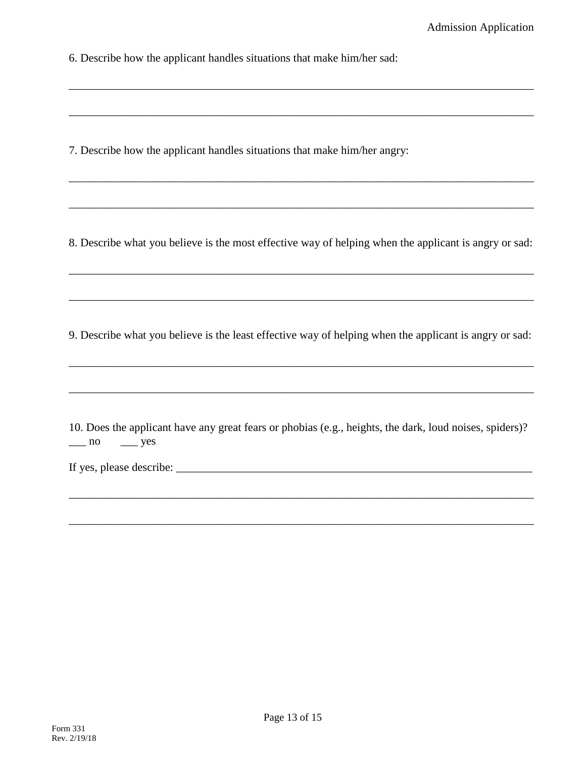6. Describe how the applicant handles situations that make him/her sad:

7. Describe how the applicant handles situations that make him/her angry:

8. Describe what you believe is the most effective way of helping when the applicant is angry or sad:

\_\_\_\_\_\_\_\_\_\_\_\_\_\_\_\_\_\_\_\_\_\_\_\_\_\_\_\_\_\_\_\_\_\_\_\_\_\_\_\_\_\_\_\_\_\_\_\_\_\_\_\_\_\_\_\_\_\_\_\_\_\_\_\_\_\_\_\_\_\_\_\_\_\_\_\_\_\_\_\_\_

\_\_\_\_\_\_\_\_\_\_\_\_\_\_\_\_\_\_\_\_\_\_\_\_\_\_\_\_\_\_\_\_\_\_\_\_\_\_\_\_\_\_\_\_\_\_\_\_\_\_\_\_\_\_\_\_\_\_\_\_\_\_\_\_\_\_\_\_\_\_\_\_\_\_\_\_\_\_\_\_\_

\_\_\_\_\_\_\_\_\_\_\_\_\_\_\_\_\_\_\_\_\_\_\_\_\_\_\_\_\_\_\_\_\_\_\_\_\_\_\_\_\_\_\_\_\_\_\_\_\_\_\_\_\_\_\_\_\_\_\_\_\_\_\_\_\_\_\_\_\_\_\_\_\_\_\_\_\_\_\_\_\_

\_\_\_\_\_\_\_\_\_\_\_\_\_\_\_\_\_\_\_\_\_\_\_\_\_\_\_\_\_\_\_\_\_\_\_\_\_\_\_\_\_\_\_\_\_\_\_\_\_\_\_\_\_\_\_\_\_\_\_\_\_\_\_\_\_\_\_\_\_\_\_\_\_\_\_\_\_\_\_\_\_

\_\_\_\_\_\_\_\_\_\_\_\_\_\_\_\_\_\_\_\_\_\_\_\_\_\_\_\_\_\_\_\_\_\_\_\_\_\_\_\_\_\_\_\_\_\_\_\_\_\_\_\_\_\_\_\_\_\_\_\_\_\_\_\_\_\_\_\_\_\_\_\_\_\_\_\_\_\_\_\_\_

\_\_\_\_\_\_\_\_\_\_\_\_\_\_\_\_\_\_\_\_\_\_\_\_\_\_\_\_\_\_\_\_\_\_\_\_\_\_\_\_\_\_\_\_\_\_\_\_\_\_\_\_\_\_\_\_\_\_\_\_\_\_\_\_\_\_\_\_\_\_\_\_\_\_\_\_\_\_\_\_\_

9. Describe what you believe is the least effective way of helping when the applicant is angry or sad:

\_\_\_\_\_\_\_\_\_\_\_\_\_\_\_\_\_\_\_\_\_\_\_\_\_\_\_\_\_\_\_\_\_\_\_\_\_\_\_\_\_\_\_\_\_\_\_\_\_\_\_\_\_\_\_\_\_\_\_\_\_\_\_\_\_\_\_\_\_\_\_\_\_\_\_\_\_\_\_\_\_

\_\_\_\_\_\_\_\_\_\_\_\_\_\_\_\_\_\_\_\_\_\_\_\_\_\_\_\_\_\_\_\_\_\_\_\_\_\_\_\_\_\_\_\_\_\_\_\_\_\_\_\_\_\_\_\_\_\_\_\_\_\_\_\_\_\_\_\_\_\_\_\_\_\_\_\_\_\_\_\_\_

|             |              |  |  |  | 10. Does the applicant have any great fears or phobias (e.g., heights, the dark, loud noises, spiders)? |  |
|-------------|--------------|--|--|--|---------------------------------------------------------------------------------------------------------|--|
| $\equiv$ no | $\equiv$ yes |  |  |  |                                                                                                         |  |

\_\_\_\_\_\_\_\_\_\_\_\_\_\_\_\_\_\_\_\_\_\_\_\_\_\_\_\_\_\_\_\_\_\_\_\_\_\_\_\_\_\_\_\_\_\_\_\_\_\_\_\_\_\_\_\_\_\_\_\_\_\_\_\_\_\_\_\_\_\_\_\_\_\_\_\_\_\_\_\_\_

\_\_\_\_\_\_\_\_\_\_\_\_\_\_\_\_\_\_\_\_\_\_\_\_\_\_\_\_\_\_\_\_\_\_\_\_\_\_\_\_\_\_\_\_\_\_\_\_\_\_\_\_\_\_\_\_\_\_\_\_\_\_\_\_\_\_\_\_\_\_\_\_\_\_\_\_\_\_\_\_\_

If yes, please describe:  $\frac{1}{\sqrt{1-\frac{1}{2}}\sqrt{1-\frac{1}{2}}\sqrt{1-\frac{1}{2}}\sqrt{1-\frac{1}{2}}\sqrt{1-\frac{1}{2}}\sqrt{1-\frac{1}{2}}\sqrt{1-\frac{1}{2}}\sqrt{1-\frac{1}{2}}\sqrt{1-\frac{1}{2}}\sqrt{1-\frac{1}{2}}\sqrt{1-\frac{1}{2}}\sqrt{1-\frac{1}{2}}\sqrt{1-\frac{1}{2}}\sqrt{1-\frac{1}{2}}\sqrt{1-\frac{1}{2}}\sqrt{1-\frac{1}{2}}\sqrt{1-\frac{1}{2}}\sqrt{$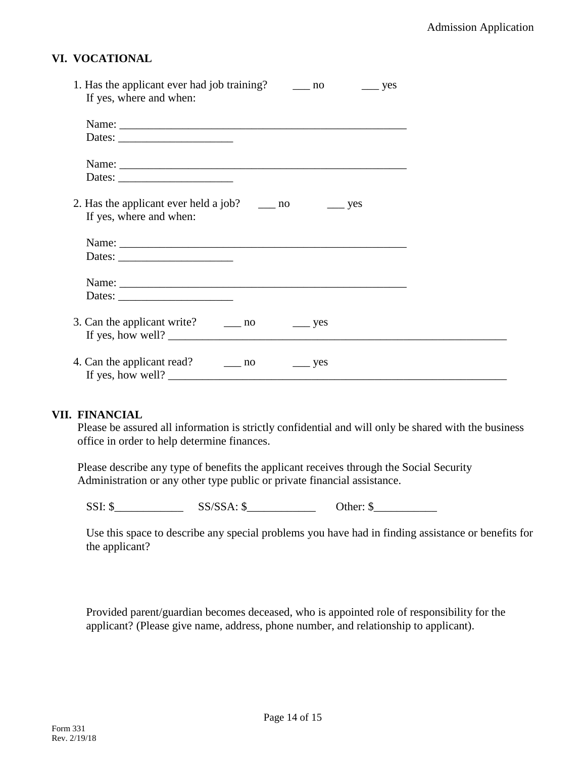### **VI. VOCATIONAL**

| If yes, where and when:                                                                                                                                                                                                                                                                                                                                                                                      |  |
|--------------------------------------------------------------------------------------------------------------------------------------------------------------------------------------------------------------------------------------------------------------------------------------------------------------------------------------------------------------------------------------------------------------|--|
|                                                                                                                                                                                                                                                                                                                                                                                                              |  |
|                                                                                                                                                                                                                                                                                                                                                                                                              |  |
|                                                                                                                                                                                                                                                                                                                                                                                                              |  |
|                                                                                                                                                                                                                                                                                                                                                                                                              |  |
|                                                                                                                                                                                                                                                                                                                                                                                                              |  |
|                                                                                                                                                                                                                                                                                                                                                                                                              |  |
| 2. Has the applicant ever held a job? $\qquad \qquad$ no $\qquad \qquad$ yes                                                                                                                                                                                                                                                                                                                                 |  |
| If yes, where and when:                                                                                                                                                                                                                                                                                                                                                                                      |  |
|                                                                                                                                                                                                                                                                                                                                                                                                              |  |
|                                                                                                                                                                                                                                                                                                                                                                                                              |  |
|                                                                                                                                                                                                                                                                                                                                                                                                              |  |
|                                                                                                                                                                                                                                                                                                                                                                                                              |  |
|                                                                                                                                                                                                                                                                                                                                                                                                              |  |
| Dates: $\frac{1}{\sqrt{1-\frac{1}{2}}\sqrt{1-\frac{1}{2}}\sqrt{1-\frac{1}{2}}\sqrt{1-\frac{1}{2}}\sqrt{1-\frac{1}{2}}\sqrt{1-\frac{1}{2}}\sqrt{1-\frac{1}{2}}\sqrt{1-\frac{1}{2}}\sqrt{1-\frac{1}{2}}\sqrt{1-\frac{1}{2}}\sqrt{1-\frac{1}{2}}\sqrt{1-\frac{1}{2}}\sqrt{1-\frac{1}{2}}\sqrt{1-\frac{1}{2}}\sqrt{1-\frac{1}{2}}\sqrt{1-\frac{1}{2}}\sqrt{1-\frac{1}{2}}\sqrt{1-\frac{1}{2}}\sqrt{1-\frac{1}{2$ |  |
|                                                                                                                                                                                                                                                                                                                                                                                                              |  |
| 3. Can the applicant write? $\qquad \qquad \boxed{\qquad}$ no $\qquad \qquad \boxed{\qquad}$ yes                                                                                                                                                                                                                                                                                                             |  |
|                                                                                                                                                                                                                                                                                                                                                                                                              |  |
| 4. Can the applicant read? ______ no<br>$\equiv$ yes                                                                                                                                                                                                                                                                                                                                                         |  |
|                                                                                                                                                                                                                                                                                                                                                                                                              |  |

#### **VII. FINANCIAL**

Please be assured all information is strictly confidential and will only be shared with the business office in order to help determine finances.

Please describe any type of benefits the applicant receives through the Social Security Administration or any other type public or private financial assistance.

 $SSI: \$   $SS/SSA: \$   $\frac{\text{OS}}{\text{OS}}$   $\frac{\text{OS}}{\text{OS}}$   $\frac{\text{OS}}{\text{OS}}$   $\frac{\text{S}}{\text{OS}}$   $\frac{\text{S}}{\text{OS}}$   $\frac{\text{S}}{\text{OS}}$   $\frac{\text{S}}{\text{OS}}$   $\frac{\text{S}}{\text{OS}}$   $\frac{\text{S}}{\text{OS}}$   $\frac{\text{S}}{\text{OS}}$   $\frac{\text{S}}{\text{OS}}$   $\frac{\text{S}}{\text{OS}}$   $\frac{\text{S}}{\text{OS}}$   $\frac{\text{S}}{\text$ 

Use this space to describe any special problems you have had in finding assistance or benefits for the applicant?

Provided parent/guardian becomes deceased, who is appointed role of responsibility for the applicant? (Please give name, address, phone number, and relationship to applicant).